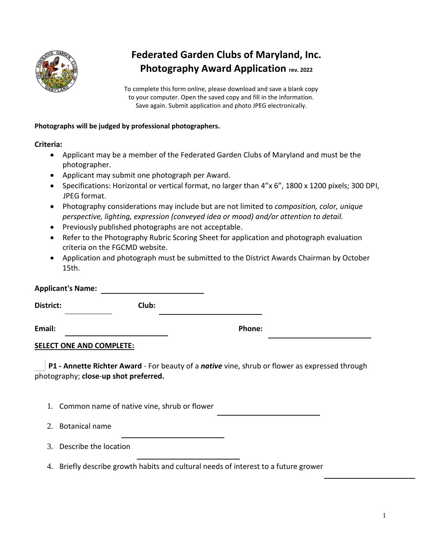

## **Federated Garden Clubs of Maryland, Inc. Photography Award Application rev. 2022**

To complete this form online, please download and save a blank copy to your computer. Open the saved copy and fill in the information. Save again. Submit application and photo JPEG electronically.

## **Photographs will be judged by professional photographers.**

## **Criteria:**

- Applicant may be a member of the Federated Garden Clubs of Maryland and must be the photographer.
- Applicant may submit one photograph per Award.
- Specifications: Horizontal or vertical format, no larger than 4"x 6", 1800 x 1200 pixels; 300 DPI, JPEG format.
- Photography considerations may include but are not limited to *composition, color, unique perspective, lighting, expression (conveyed idea or mood) and/or attention to detail.*
- Previously published photographs are not acceptable.
- Refer to the Photography Rubric Scoring Sheet for application and photograph evaluation criteria on the FGCMD website.
- Application and photograph must be submitted to the District Awards Chairman by October 15th.

| <b>Applicant's Name:</b>        |                                                |                                                                                                |  |
|---------------------------------|------------------------------------------------|------------------------------------------------------------------------------------------------|--|
| District:                       | Club:                                          |                                                                                                |  |
| Email:                          |                                                | Phone:                                                                                         |  |
| <b>SELECT ONE AND COMPLETE:</b> |                                                |                                                                                                |  |
|                                 | photography; close-up shot preferred.          | P1 - Annette Richter Award - For beauty of a native vine, shrub or flower as expressed through |  |
|                                 | 1. Common name of native vine, shrub or flower |                                                                                                |  |
| <b>Botanical name</b><br>2.     |                                                |                                                                                                |  |

- 3. Describe the location
- 4. Briefly describe growth habits and cultural needs of interest to a future grower